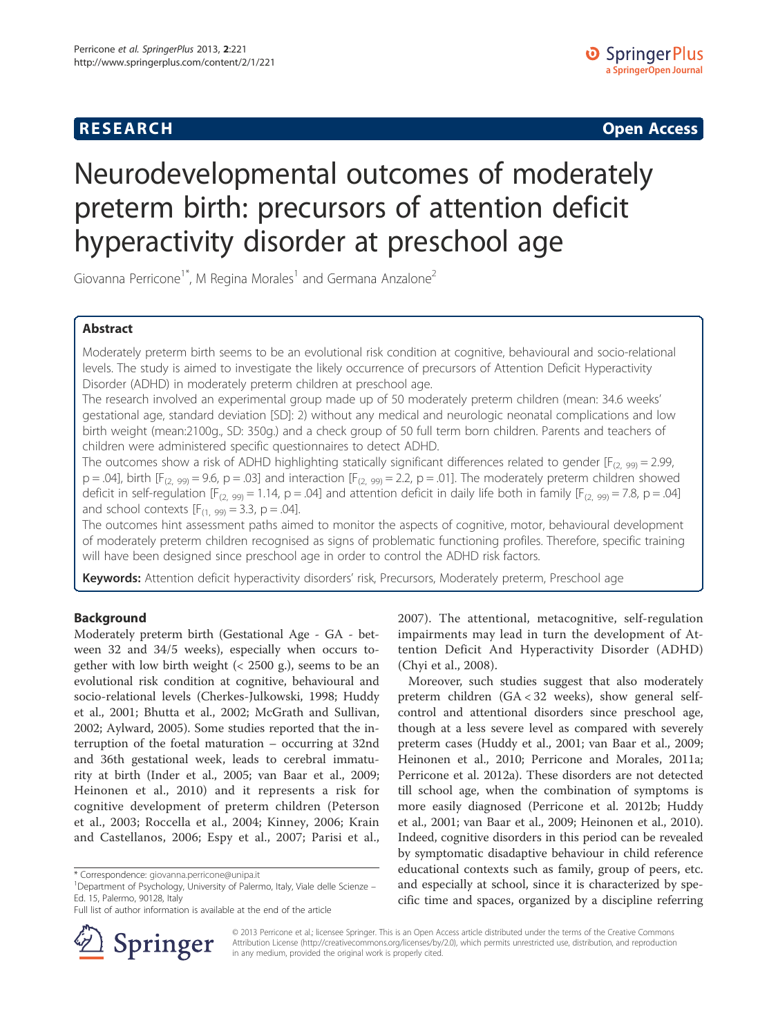# **RESEARCH CHE Open Access**

# Neurodevelopmental outcomes of moderately preterm birth: precursors of attention deficit hyperactivity disorder at preschool age

Giovanna Perricone<sup>1\*</sup>, M Regina Morales<sup>1</sup> and Germana Anzalone<sup>2</sup>

# Abstract

Moderately preterm birth seems to be an evolutional risk condition at cognitive, behavioural and socio-relational levels. The study is aimed to investigate the likely occurrence of precursors of Attention Deficit Hyperactivity Disorder (ADHD) in moderately preterm children at preschool age.

The research involved an experimental group made up of 50 moderately preterm children (mean: 34.6 weeks' gestational age, standard deviation [SD]: 2) without any medical and neurologic neonatal complications and low birth weight (mean:2100g., SD: 350g.) and a check group of 50 full term born children. Parents and teachers of children were administered specific questionnaires to detect ADHD.

The outcomes show a risk of ADHD highlighting statically significant differences related to gender  $[F_{(2, 99)} = 2.99$ ,  $p = .04$ , birth [ $F(z, 99) = 9.6$ ,  $p = .03$ ] and interaction [ $F(z, 99) = 2.2$ ,  $p = .01$ ]. The moderately preterm children showed deficit in self-regulation  $[F_{(2, 99)} = 1.14$ , p = .04] and attention deficit in daily life both in family  $[F_{(2, 99)} = 7.8$ , p = .04] and school contexts  $[F_{(1, 99)} = 3.3, p = .04]$ .

The outcomes hint assessment paths aimed to monitor the aspects of cognitive, motor, behavioural development of moderately preterm children recognised as signs of problematic functioning profiles. Therefore, specific training will have been designed since preschool age in order to control the ADHD risk factors.

Keywords: Attention deficit hyperactivity disorders' risk, Precursors, Moderately preterm, Preschool age

# Background

Moderately preterm birth (Gestational Age - GA - between 32 and 34/5 weeks), especially when occurs together with low birth weight (< 2500 g.), seems to be an evolutional risk condition at cognitive, behavioural and socio-relational levels (Cherkes-Julkowski, 1998; Huddy et al., 2001; Bhutta et al., 2002; McGrath and Sullivan, 2002; Aylward, 2005). Some studies reported that the interruption of the foetal maturation – occurring at 32nd and 36th gestational week, leads to cerebral immaturity at birth (Inder et al., 2005; van Baar et al., 2009; Heinonen et al., 2010) and it represents a risk for cognitive development of preterm children (Peterson et al., 2003; Roccella et al., 2004; Kinney, 2006; Krain and Castellanos, 2006; Espy et al., 2007; Parisi et al.,

Full list of author information is available at the end of the article



2007). The attentional, metacognitive, self-regulation impairments may lead in turn the development of Attention Deficit And Hyperactivity Disorder (ADHD) (Chyi et al., 2008).

Moreover, such studies suggest that also moderately preterm children (GA < 32 weeks), show general selfcontrol and attentional disorders since preschool age, though at a less severe level as compared with severely preterm cases (Huddy et al., 2001; van Baar et al., 2009; Heinonen et al., 2010; Perricone and Morales, 2011a; Perricone et al. 2012a). These disorders are not detected till school age, when the combination of symptoms is more easily diagnosed (Perricone et al. 2012b; Huddy et al., 2001; van Baar et al., 2009; Heinonen et al., 2010). Indeed, cognitive disorders in this period can be revealed by symptomatic disadaptive behaviour in child reference educational contexts such as family, group of peers, etc. and especially at school, since it is characterized by specific time and spaces, organized by a discipline referring

© 2013 Perricone et al.; licensee Springer. This is an Open Access article distributed under the terms of the Creative Commons Attribution License (http://creativecommons.org/licenses/by/2.0), which permits unrestricted use, distribution, and reproduction in any medium, provided the original work is properly cited.

<sup>\*</sup> Correspondence: giovanna.perricone@unipa.it <sup>1</sup>

<sup>&</sup>lt;sup>1</sup>Department of Psychology, University of Palermo, Italy, Viale delle Scienze -Ed. 15, Palermo, 90128, Italy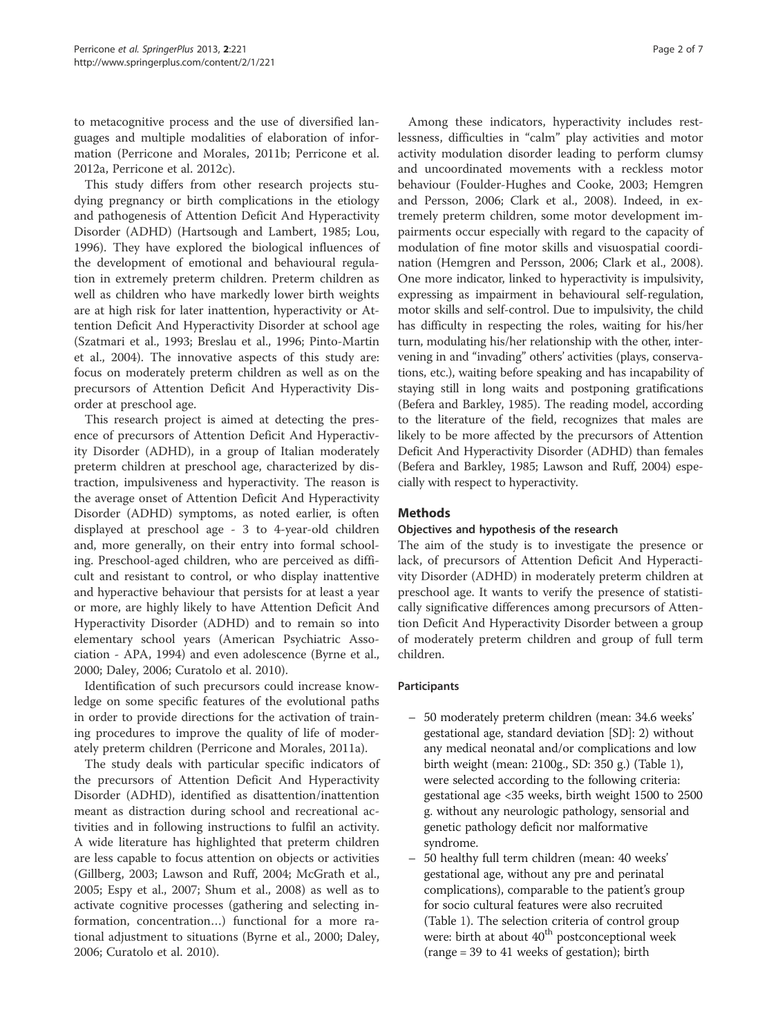to metacognitive process and the use of diversified languages and multiple modalities of elaboration of information (Perricone and Morales, 2011b; Perricone et al. 2012a, Perricone et al. 2012c).

This study differs from other research projects studying pregnancy or birth complications in the etiology and pathogenesis of Attention Deficit And Hyperactivity Disorder (ADHD) (Hartsough and Lambert, 1985; Lou, 1996). They have explored the biological influences of the development of emotional and behavioural regulation in extremely preterm children. Preterm children as well as children who have markedly lower birth weights are at high risk for later inattention, hyperactivity or Attention Deficit And Hyperactivity Disorder at school age (Szatmari et al., 1993; Breslau et al., 1996; Pinto-Martin et al., 2004). The innovative aspects of this study are: focus on moderately preterm children as well as on the precursors of Attention Deficit And Hyperactivity Disorder at preschool age.

This research project is aimed at detecting the presence of precursors of Attention Deficit And Hyperactivity Disorder (ADHD), in a group of Italian moderately preterm children at preschool age, characterized by distraction, impulsiveness and hyperactivity. The reason is the average onset of Attention Deficit And Hyperactivity Disorder (ADHD) symptoms, as noted earlier, is often displayed at preschool age - 3 to 4-year-old children and, more generally, on their entry into formal schooling. Preschool-aged children, who are perceived as difficult and resistant to control, or who display inattentive and hyperactive behaviour that persists for at least a year or more, are highly likely to have Attention Deficit And Hyperactivity Disorder (ADHD) and to remain so into elementary school years (American Psychiatric Association - APA, 1994) and even adolescence (Byrne et al., 2000; Daley, 2006; Curatolo et al. 2010).

Identification of such precursors could increase knowledge on some specific features of the evolutional paths in order to provide directions for the activation of training procedures to improve the quality of life of moderately preterm children (Perricone and Morales, 2011a).

The study deals with particular specific indicators of the precursors of Attention Deficit And Hyperactivity Disorder (ADHD), identified as disattention/inattention meant as distraction during school and recreational activities and in following instructions to fulfil an activity. A wide literature has highlighted that preterm children are less capable to focus attention on objects or activities (Gillberg, 2003; Lawson and Ruff, 2004; McGrath et al., 2005; Espy et al., 2007; Shum et al., 2008) as well as to activate cognitive processes (gathering and selecting information, concentration…) functional for a more rational adjustment to situations (Byrne et al., 2000; Daley, 2006; Curatolo et al. 2010).

Among these indicators, hyperactivity includes restlessness, difficulties in "calm" play activities and motor activity modulation disorder leading to perform clumsy and uncoordinated movements with a reckless motor behaviour (Foulder-Hughes and Cooke, 2003; Hemgren and Persson, 2006; Clark et al., 2008). Indeed, in extremely preterm children, some motor development impairments occur especially with regard to the capacity of modulation of fine motor skills and visuospatial coordination (Hemgren and Persson, 2006; Clark et al., 2008). One more indicator, linked to hyperactivity is impulsivity, expressing as impairment in behavioural self-regulation, motor skills and self-control. Due to impulsivity, the child has difficulty in respecting the roles, waiting for his/her turn, modulating his/her relationship with the other, intervening in and "invading" others' activities (plays, conservations, etc.), waiting before speaking and has incapability of staying still in long waits and postponing gratifications (Befera and Barkley, 1985). The reading model, according to the literature of the field, recognizes that males are likely to be more affected by the precursors of Attention Deficit And Hyperactivity Disorder (ADHD) than females (Befera and Barkley, 1985; Lawson and Ruff, 2004) especially with respect to hyperactivity.

# Methods

# Objectives and hypothesis of the research

The aim of the study is to investigate the presence or lack, of precursors of Attention Deficit And Hyperactivity Disorder (ADHD) in moderately preterm children at preschool age. It wants to verify the presence of statistically significative differences among precursors of Attention Deficit And Hyperactivity Disorder between a group of moderately preterm children and group of full term children.

# Participants

- 50 moderately preterm children (mean: 34.6 weeks' gestational age, standard deviation [SD]: 2) without any medical neonatal and/or complications and low birth weight (mean: 2100g., SD: 350 g.) (Table 1), were selected according to the following criteria: gestational age <35 weeks, birth weight 1500 to 2500 g. without any neurologic pathology, sensorial and genetic pathology deficit nor malformative syndrome.
- 50 healthy full term children (mean: 40 weeks' gestational age, without any pre and perinatal complications), comparable to the patient's group for socio cultural features were also recruited (Table 1). The selection criteria of control group were: birth at about 40<sup>th</sup> postconceptional week (range = 39 to 41 weeks of gestation); birth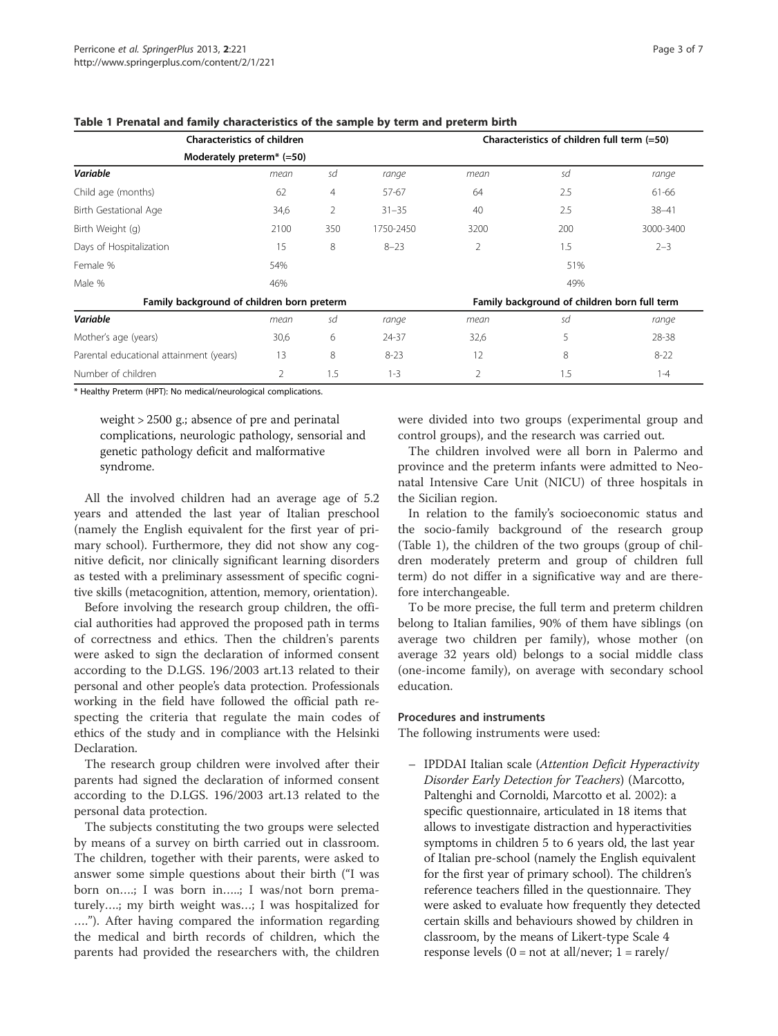| <b>Characteristics of children</b>         |      | Characteristics of children full term (=50)  |           |      |     |           |
|--------------------------------------------|------|----------------------------------------------|-----------|------|-----|-----------|
| Moderately preterm* $(=50)$                |      |                                              |           |      |     |           |
| Variable                                   | mean | sd                                           | range     | mean | sd  | range     |
| Child age (months)                         | 62   | $\overline{4}$                               | 57-67     | 64   | 2.5 | 61-66     |
| Birth Gestational Age                      | 34,6 | 2                                            | $31 - 35$ | 40   | 2.5 | $38 - 41$ |
| Birth Weight (g)                           | 2100 | 350                                          | 1750-2450 | 3200 | 200 | 3000-3400 |
| Days of Hospitalization                    | 15   | 8                                            | $8 - 23$  | 2    | 1.5 | $2 - 3$   |
| Female %                                   | 54%  |                                              |           |      | 51% |           |
| Male %                                     | 46%  |                                              |           |      | 49% |           |
| Family background of children born preterm |      | Family background of children born full term |           |      |     |           |
| Variable                                   | mean | sd                                           | range     | mean | sd  | range     |
| Mother's age (years)                       | 30,6 | 6                                            | 24-37     | 32,6 | 5   | 28-38     |
| Parental educational attainment (years)    | 13   | 8                                            | $8 - 23$  | 12   | 8   | $8 - 22$  |
| Number of children                         | 2    | 1.5                                          | $1 - 3$   | 2    | 1.5 | $1 - 4$   |

#### Table 1 Prenatal and family characteristics of the sample by term and preterm birth

\* Healthy Preterm (HPT): No medical/neurological complications.

weight > 2500 g.; absence of pre and perinatal complications, neurologic pathology, sensorial and genetic pathology deficit and malformative syndrome.

All the involved children had an average age of 5.2 years and attended the last year of Italian preschool (namely the English equivalent for the first year of primary school). Furthermore, they did not show any cognitive deficit, nor clinically significant learning disorders as tested with a preliminary assessment of specific cognitive skills (metacognition, attention, memory, orientation).

Before involving the research group children, the official authorities had approved the proposed path in terms of correctness and ethics. Then the children's parents were asked to sign the declaration of informed consent according to the D.LGS. 196/2003 art.13 related to their personal and other people's data protection. Professionals working in the field have followed the official path respecting the criteria that regulate the main codes of ethics of the study and in compliance with the Helsinki Declaration.

The research group children were involved after their parents had signed the declaration of informed consent according to the D.LGS. 196/2003 art.13 related to the personal data protection.

The subjects constituting the two groups were selected by means of a survey on birth carried out in classroom. The children, together with their parents, were asked to answer some simple questions about their birth ("I was born on….; I was born in…..; I was/not born prematurely….; my birth weight was…; I was hospitalized for …."). After having compared the information regarding the medical and birth records of children, which the parents had provided the researchers with, the children were divided into two groups (experimental group and control groups), and the research was carried out.

The children involved were all born in Palermo and province and the preterm infants were admitted to Neonatal Intensive Care Unit (NICU) of three hospitals in the Sicilian region.

In relation to the family's socioeconomic status and the socio-family background of the research group (Table 1), the children of the two groups (group of children moderately preterm and group of children full term) do not differ in a significative way and are therefore interchangeable.

To be more precise, the full term and preterm children belong to Italian families, 90% of them have siblings (on average two children per family), whose mother (on average 32 years old) belongs to a social middle class (one-income family), on average with secondary school education.

#### Procedures and instruments

The following instruments were used:

– IPDDAI Italian scale (Attention Deficit Hyperactivity Disorder Early Detection for Teachers) (Marcotto, Paltenghi and Cornoldi, Marcotto et al. 2002): a specific questionnaire, articulated in 18 items that allows to investigate distraction and hyperactivities symptoms in children 5 to 6 years old, the last year of Italian pre-school (namely the English equivalent for the first year of primary school). The children's reference teachers filled in the questionnaire. They were asked to evaluate how frequently they detected certain skills and behaviours showed by children in classroom, by the means of Likert-type Scale 4 response levels  $(0 = not at all/never; 1 = rarely/$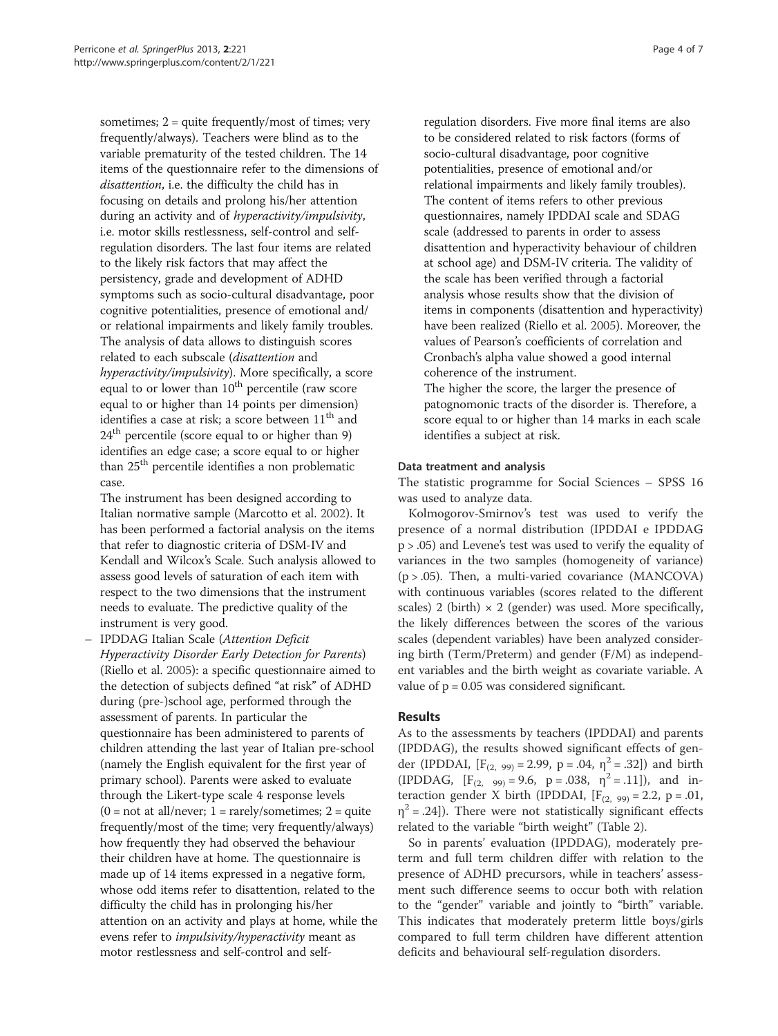sometimes;  $2 =$  quite frequently/most of times; very frequently/always). Teachers were blind as to the variable prematurity of the tested children. The 14 items of the questionnaire refer to the dimensions of disattention, i.e. the difficulty the child has in focusing on details and prolong his/her attention during an activity and of hyperactivity/impulsivity, i.e. motor skills restlessness, self-control and selfregulation disorders. The last four items are related to the likely risk factors that may affect the persistency, grade and development of ADHD symptoms such as socio-cultural disadvantage, poor cognitive potentialities, presence of emotional and/ or relational impairments and likely family troubles. The analysis of data allows to distinguish scores related to each subscale (disattention and hyperactivity/impulsivity). More specifically, a score equal to or lower than  $10^{th}$  percentile (raw score equal to or higher than 14 points per dimension) identifies a case at risk; a score between  $11<sup>th</sup>$  and  $24<sup>th</sup>$  percentile (score equal to or higher than 9) identifies an edge case; a score equal to or higher than 25th percentile identifies a non problematic case.

The instrument has been designed according to Italian normative sample (Marcotto et al. 2002). It has been performed a factorial analysis on the items that refer to diagnostic criteria of DSM-IV and Kendall and Wilcox's Scale. Such analysis allowed to assess good levels of saturation of each item with respect to the two dimensions that the instrument needs to evaluate. The predictive quality of the instrument is very good.

– IPDDAG Italian Scale (Attention Deficit Hyperactivity Disorder Early Detection for Parents) (Riello et al. 2005): a specific questionnaire aimed to the detection of subjects defined "at risk" of ADHD during (pre-)school age, performed through the assessment of parents. In particular the questionnaire has been administered to parents of children attending the last year of Italian pre-school (namely the English equivalent for the first year of primary school). Parents were asked to evaluate through the Likert-type scale 4 response levels  $(0 = not at all/never; 1 = rarely/sometimes; 2 = quite$ frequently/most of the time; very frequently/always) how frequently they had observed the behaviour their children have at home. The questionnaire is made up of 14 items expressed in a negative form, whose odd items refer to disattention, related to the difficulty the child has in prolonging his/her attention on an activity and plays at home, while the evens refer to *impulsivity/hyperactivity* meant as motor restlessness and self-control and selfregulation disorders. Five more final items are also to be considered related to risk factors (forms of socio-cultural disadvantage, poor cognitive potentialities, presence of emotional and/or relational impairments and likely family troubles). The content of items refers to other previous questionnaires, namely IPDDAI scale and SDAG scale (addressed to parents in order to assess disattention and hyperactivity behaviour of children at school age) and DSM-IV criteria. The validity of the scale has been verified through a factorial analysis whose results show that the division of items in components (disattention and hyperactivity) have been realized (Riello et al. 2005). Moreover, the values of Pearson's coefficients of correlation and Cronbach's alpha value showed a good internal coherence of the instrument.

The higher the score, the larger the presence of patognomonic tracts of the disorder is. Therefore, a score equal to or higher than 14 marks in each scale identifies a subject at risk.

### Data treatment and analysis

The statistic programme for Social Sciences – SPSS 16 was used to analyze data.

Kolmogorov-Smirnov's test was used to verify the presence of a normal distribution (IPDDAI e IPDDAG p > .05) and Levene's test was used to verify the equality of variances in the two samples (homogeneity of variance)  $(p > .05)$ . Then, a multi-varied covariance (MANCOVA) with continuous variables (scores related to the different scales) 2 (birth)  $\times$  2 (gender) was used. More specifically, the likely differences between the scores of the various scales (dependent variables) have been analyzed considering birth (Term/Preterm) and gender (F/M) as independent variables and the birth weight as covariate variable. A value of  $p = 0.05$  was considered significant.

#### Results

As to the assessments by teachers (IPDDAI) and parents (IPDDAG), the results showed significant effects of gender (IPDDAI,  $[F_{(2, 99)} = 2.99, p = .04, \eta^2 = .32]$ ) and birth (IPDDAG,  $[F_{(2, 99)} = 9.6, p = .038, \eta^2 = .11]$ ), and interaction gender X birth (IPDDAI,  $[F_{(2, 99)} = 2.2, p = .01,$  $\eta^2$  = .24]). There were not statistically significant effects related to the variable "birth weight" (Table 2).

So in parents' evaluation (IPDDAG), moderately preterm and full term children differ with relation to the presence of ADHD precursors, while in teachers' assessment such difference seems to occur both with relation to the "gender" variable and jointly to "birth" variable. This indicates that moderately preterm little boys/girls compared to full term children have different attention deficits and behavioural self-regulation disorders.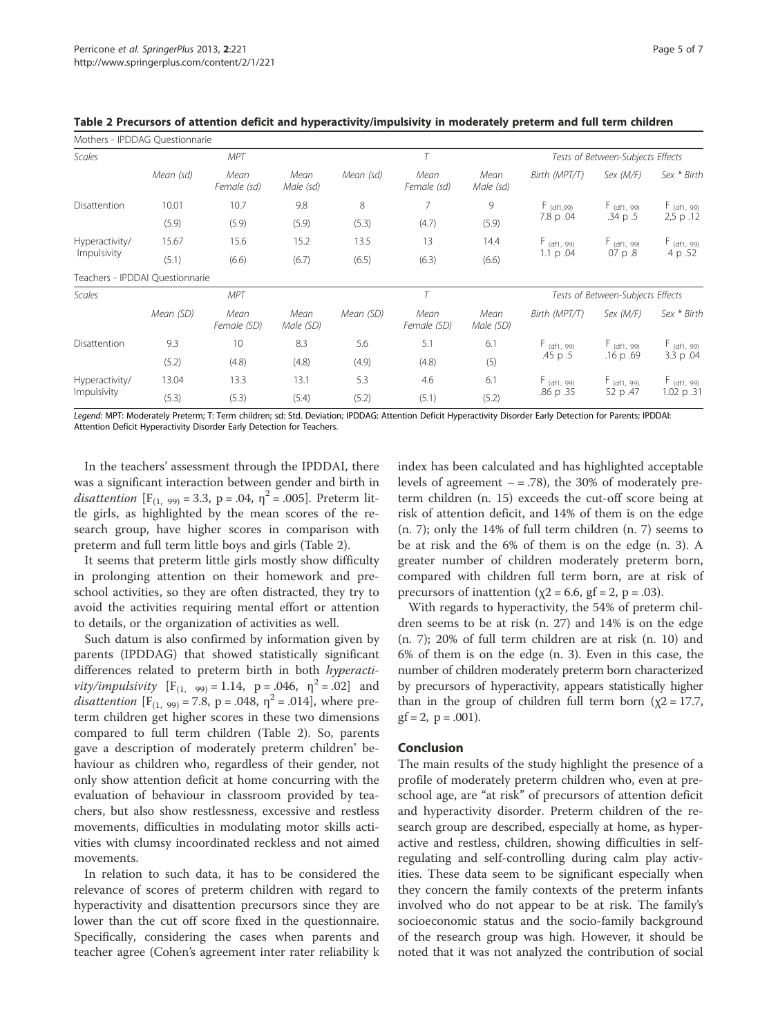| Mothers - IPDDAG Questionnarie  |            |                     |                   |           |                     |                   |                                          |                             |                              |
|---------------------------------|------------|---------------------|-------------------|-----------|---------------------|-------------------|------------------------------------------|-----------------------------|------------------------------|
| <b>Scales</b>                   | <b>MPT</b> |                     |                   |           |                     |                   | Tests of Between-Subjects Effects        |                             |                              |
|                                 | Mean (sd)  | Mean<br>Female (sd) | Mean<br>Male (sd) | Mean (sd) | Mean<br>Female (sd) | Mean<br>Male (sd) | Birth (MPT/T)                            | Sex (M/F)                   | Sex * Birth                  |
| Disattention                    | 10.01      | 10.7                | 9.8               | 8         | 7                   | 9                 | $F_{\left( df1,99\right) }$<br>7.8 p .04 | $F_{(df1, 99)}$<br>.34 p .5 | $F_{(df1, 99)}$<br>2,5 p.12  |
|                                 | (5.9)      | (5.9)               | (5.9)             | (5.3)     | (4.7)               | (5.9)             |                                          |                             |                              |
| Hyperactivity/<br>Impulsivity   | 15.67      | 15.6                | 15.2              | 13.5      | 13                  | 14.4              | $F$ (df1, 99)<br>1.1 $p.04$              | $F$ (df1, 99)<br>07 p.8     | $F$ (df1, 99)<br>4 p .52     |
|                                 | (5.1)      | (6.6)               | (6.7)             | (6.5)     | (6.3)               | (6.6)             |                                          |                             |                              |
| Teachers - IPDDAI Questionnarie |            |                     |                   |           |                     |                   |                                          |                             |                              |
| <b>Scales</b>                   | <b>MPT</b> |                     |                   |           |                     |                   | Tests of Between-Subjects Effects        |                             |                              |
|                                 | Mean (SD)  | Mean<br>Female (SD) | Mean<br>Male (SD) | Mean (SD) | Mean<br>Female (SD) | Mean<br>Male (SD) | Birth (MPT/T)                            | Sex (M/F)                   | Sex * Birth                  |
| Disattention                    | 9.3        | 10                  | 8.3               | 5.6       | 5.1                 | 6.1               | $F_{(df1, 99)}$                          | $F_{(df1, 99)}$<br>.16 p.69 | $F_{(df1, 99)}$<br>3.3 p .04 |
|                                 | (5.2)      | (4.8)               | (4.8)             | (4.9)     | (4.8)               | (5)               | .45 p .5                                 |                             |                              |
| Hyperactivity/<br>Impulsivity   | 13.04      | 13.3                | 13.1              | 5.3       | 4.6                 | 6.1               | $F_{(df1, 99)}$                          | $F$ (df1, 99).<br>52 p.47   | $F_{(df1, 99)}$<br>1.02 p.31 |
|                                 | (5.3)      | (5.3)               | (5.4)             | (5.2)     | (5.1)               | (5.2)             | .86 p .35                                |                             |                              |

Table 2 Precursors of attention deficit and hyperactivity/impulsivity in moderately preterm and full term children

Legend: MPT: Moderately Preterm; T: Term children; sd: Std. Deviation; IPDDAG: Attention Deficit Hyperactivity Disorder Early Detection for Parents; IPDDAI: Attention Deficit Hyperactivity Disorder Early Detection for Teachers.

In the teachers' assessment through the IPDDAI, there was a significant interaction between gender and birth in disattention  $[F_{(1, 99)} = 3.3, p = .04, \eta^2 = .005]$ . Preterm little girls, as highlighted by the mean scores of the research group, have higher scores in comparison with preterm and full term little boys and girls (Table 2).

It seems that preterm little girls mostly show difficulty in prolonging attention on their homework and preschool activities, so they are often distracted, they try to avoid the activities requiring mental effort or attention to details, or the organization of activities as well.

Such datum is also confirmed by information given by parents (IPDDAG) that showed statistically significant differences related to preterm birth in both hyperacti*vity/impulsivity*  $[F_{(1, 99)} = 1.14, p = .046, \eta^2 = .02]$  and disattention  $[F_{(1, 99)} = 7.8, p = .048, \eta^2 = .014]$ , where preterm children get higher scores in these two dimensions compared to full term children (Table 2). So, parents gave a description of moderately preterm children' behaviour as children who, regardless of their gender, not only show attention deficit at home concurring with the evaluation of behaviour in classroom provided by teachers, but also show restlessness, excessive and restless movements, difficulties in modulating motor skills activities with clumsy incoordinated reckless and not aimed movements.

In relation to such data, it has to be considered the relevance of scores of preterm children with regard to hyperactivity and disattention precursors since they are lower than the cut off score fixed in the questionnaire. Specifically, considering the cases when parents and teacher agree (Cohen's agreement inter rater reliability k index has been calculated and has highlighted acceptable levels of agreement  $- = .78$ ), the 30% of moderately preterm children (n. 15) exceeds the cut-off score being at risk of attention deficit, and 14% of them is on the edge (n. 7); only the 14% of full term children (n. 7) seems to be at risk and the 6% of them is on the edge (n. 3). A greater number of children moderately preterm born, compared with children full term born, are at risk of precursors of inattention ( $\chi$ 2 = 6.6, gf = 2, p = .03).

With regards to hyperactivity, the 54% of preterm children seems to be at risk (n. 27) and 14% is on the edge (n. 7); 20% of full term children are at risk (n. 10) and 6% of them is on the edge (n. 3). Even in this case, the number of children moderately preterm born characterized by precursors of hyperactivity, appears statistically higher than in the group of children full term born ( $\chi$ 2 = 17.7,  $gf = 2$ ,  $p = .001$ ).

#### Conclusion

The main results of the study highlight the presence of a profile of moderately preterm children who, even at preschool age, are "at risk" of precursors of attention deficit and hyperactivity disorder. Preterm children of the research group are described, especially at home, as hyperactive and restless, children, showing difficulties in selfregulating and self-controlling during calm play activities. These data seem to be significant especially when they concern the family contexts of the preterm infants involved who do not appear to be at risk. The family's socioeconomic status and the socio-family background of the research group was high. However, it should be noted that it was not analyzed the contribution of social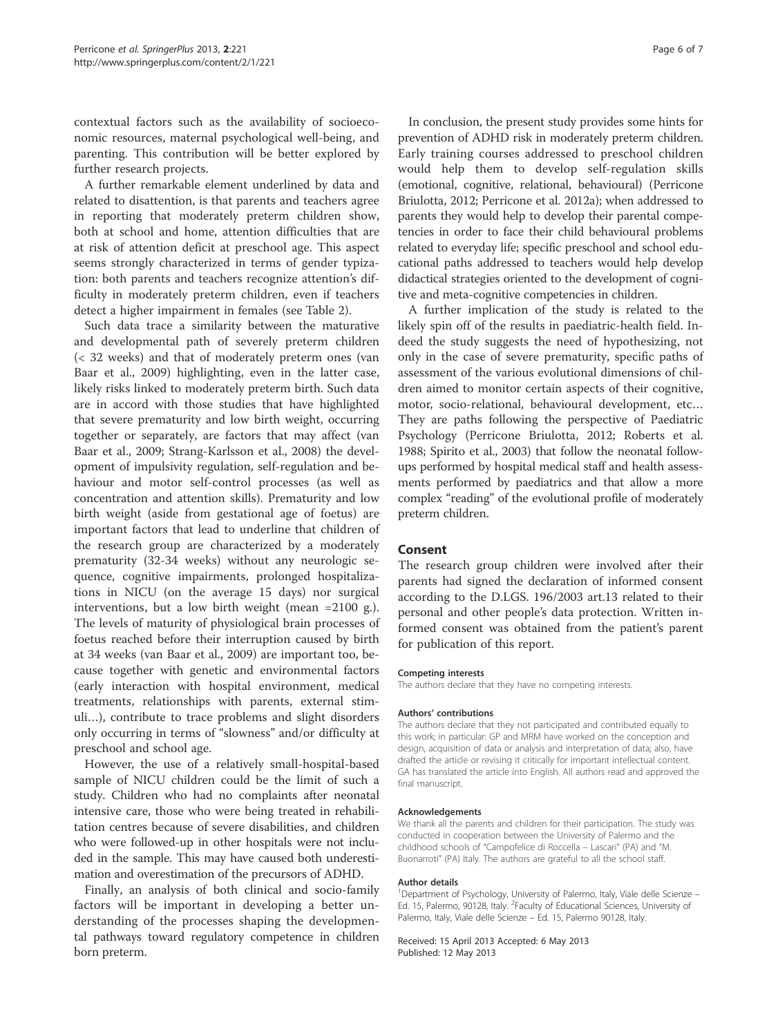contextual factors such as the availability of socioeconomic resources, maternal psychological well-being, and parenting. This contribution will be better explored by further research projects.

A further remarkable element underlined by data and related to disattention, is that parents and teachers agree in reporting that moderately preterm children show, both at school and home, attention difficulties that are at risk of attention deficit at preschool age. This aspect seems strongly characterized in terms of gender typization: both parents and teachers recognize attention's difficulty in moderately preterm children, even if teachers detect a higher impairment in females (see Table 2).

Such data trace a similarity between the maturative and developmental path of severely preterm children (< 32 weeks) and that of moderately preterm ones (van Baar et al., 2009) highlighting, even in the latter case, likely risks linked to moderately preterm birth. Such data are in accord with those studies that have highlighted that severe prematurity and low birth weight, occurring together or separately, are factors that may affect (van Baar et al., 2009; Strang-Karlsson et al., 2008) the development of impulsivity regulation, self-regulation and behaviour and motor self-control processes (as well as concentration and attention skills). Prematurity and low birth weight (aside from gestational age of foetus) are important factors that lead to underline that children of the research group are characterized by a moderately prematurity (32-34 weeks) without any neurologic sequence, cognitive impairments, prolonged hospitalizations in NICU (on the average 15 days) nor surgical interventions, but a low birth weight (mean =2100 g.). The levels of maturity of physiological brain processes of foetus reached before their interruption caused by birth at 34 weeks (van Baar et al., 2009) are important too, because together with genetic and environmental factors (early interaction with hospital environment, medical treatments, relationships with parents, external stimuli…), contribute to trace problems and slight disorders only occurring in terms of "slowness" and/or difficulty at preschool and school age.

However, the use of a relatively small-hospital-based sample of NICU children could be the limit of such a study. Children who had no complaints after neonatal intensive care, those who were being treated in rehabilitation centres because of severe disabilities, and children who were followed-up in other hospitals were not included in the sample. This may have caused both underestimation and overestimation of the precursors of ADHD.

Finally, an analysis of both clinical and socio-family factors will be important in developing a better understanding of the processes shaping the developmental pathways toward regulatory competence in children born preterm.

In conclusion, the present study provides some hints for prevention of ADHD risk in moderately preterm children. Early training courses addressed to preschool children would help them to develop self-regulation skills (emotional, cognitive, relational, behavioural) (Perricone Briulotta, 2012; Perricone et al. 2012a); when addressed to parents they would help to develop their parental competencies in order to face their child behavioural problems related to everyday life; specific preschool and school educational paths addressed to teachers would help develop didactical strategies oriented to the development of cognitive and meta-cognitive competencies in children.

A further implication of the study is related to the likely spin off of the results in paediatric-health field. Indeed the study suggests the need of hypothesizing, not only in the case of severe prematurity, specific paths of assessment of the various evolutional dimensions of children aimed to monitor certain aspects of their cognitive, motor, socio-relational, behavioural development, etc… They are paths following the perspective of Paediatric Psychology (Perricone Briulotta, 2012; Roberts et al. 1988; Spirito et al., 2003) that follow the neonatal followups performed by hospital medical staff and health assessments performed by paediatrics and that allow a more complex "reading" of the evolutional profile of moderately preterm children.

#### Consent

The research group children were involved after their parents had signed the declaration of informed consent according to the D.LGS. 196/2003 art.13 related to their personal and other people's data protection. Written informed consent was obtained from the patient's parent for publication of this report.

#### Competing interests

The authors declare that they have no competing interests.

#### Authors' contributions

The authors declare that they not participated and contributed equally to this work; in particular: GP and MRM have worked on the conception and design, acquisition of data or analysis and interpretation of data; also, have drafted the article or revising it critically for important intellectual content. GA has translated the article into English. All authors read and approved the final manuscript.

#### Acknowledgements

We thank all the parents and children for their participation. The study was conducted in cooperation between the University of Palermo and the childhood schools of "Campofelice di Roccella – Lascari" (PA) and "M. Buonarroti" (PA) Italy. The authors are grateful to all the school staff.

#### Author details

<sup>1</sup>Department of Psychology, University of Palermo, Italy, Viale delle Scienze -Ed. 15, Palermo, 90128, Italy. <sup>2</sup> Faculty of Educational Sciences, University of Palermo, Italy, Viale delle Scienze – Ed. 15, Palermo 90128, Italy.

Received: 15 April 2013 Accepted: 6 May 2013 Published: 12 May 2013